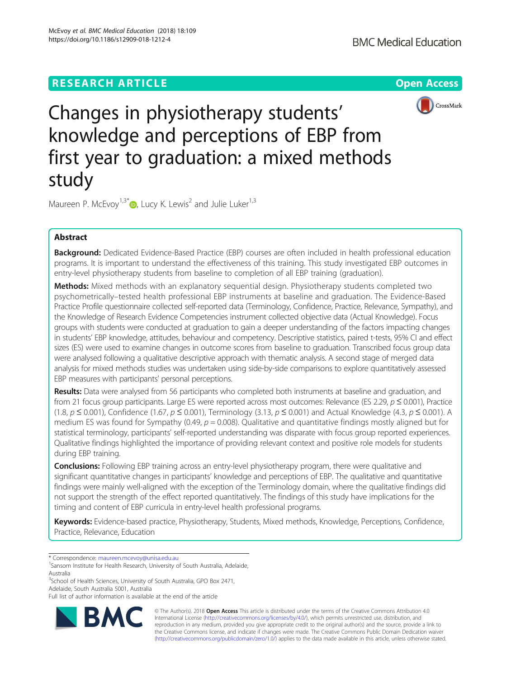# **RESEARCH ARTICLE Example 2014 12:30 The Contract of Contract ACCESS**



Changes in physiotherapy students' knowledge and perceptions of EBP from first year to graduation: a mixed methods study

Maureen P. McEvoy<sup>1[,](http://orcid.org/0000-0002-2668-4856)3\*</sup>  $\bullet$ , Lucy K. Lewis<sup>2</sup> and Julie Luker<sup>1,3</sup>

# Abstract

Background: Dedicated Evidence-Based Practice (EBP) courses are often included in health professional education programs. It is important to understand the effectiveness of this training. This study investigated EBP outcomes in entry-level physiotherapy students from baseline to completion of all EBP training (graduation).

**Methods:** Mixed methods with an explanatory sequential design. Physiotherapy students completed two psychometrically–tested health professional EBP instruments at baseline and graduation. The Evidence-Based Practice Profile questionnaire collected self-reported data (Terminology, Confidence, Practice, Relevance, Sympathy), and the Knowledge of Research Evidence Competencies instrument collected objective data (Actual Knowledge). Focus groups with students were conducted at graduation to gain a deeper understanding of the factors impacting changes in students' EBP knowledge, attitudes, behaviour and competency. Descriptive statistics, paired t-tests, 95% CI and effect sizes (ES) were used to examine changes in outcome scores from baseline to graduation. Transcribed focus group data were analysed following a qualitative descriptive approach with thematic analysis. A second stage of merged data analysis for mixed methods studies was undertaken using side-by-side comparisons to explore quantitatively assessed EBP measures with participants' personal perceptions.

Results: Data were analysed from 56 participants who completed both instruments at baseline and graduation, and from 21 focus group participants. Large ES were reported across most outcomes: Relevance (ES 2.29,  $p \le 0.001$ ), Practice (1.8,  $p \le 0.001$ ), Confidence (1.67,  $p \le 0.001$ ), Terminology (3.13,  $p \le 0.001$ ) and Actual Knowledge (4.3,  $p \le 0.001$ ). A medium ES was found for Sympathy (0.49,  $p = 0.008$ ). Qualitative and quantitative findings mostly aligned but for statistical terminology, participants' self-reported understanding was disparate with focus group reported experiences. Qualitative findings highlighted the importance of providing relevant context and positive role models for students during EBP training.

**Conclusions:** Following EBP training across an entry-level physiotherapy program, there were qualitative and significant quantitative changes in participants' knowledge and perceptions of EBP. The qualitative and quantitative findings were mainly well-aligned with the exception of the Terminology domain, where the qualitative findings did not support the strength of the effect reported quantitatively. The findings of this study have implications for the timing and content of EBP curricula in entry-level health professional programs.

Keywords: Evidence-based practice, Physiotherapy, Students, Mixed methods, Knowledge, Perceptions, Confidence, Practice, Relevance, Education

\* Correspondence: [maureen.mcevoy@unisa.edu.au](mailto:maureen.mcevoy@unisa.edu.au) <sup>1</sup>

<sup>3</sup>School of Health Sciences, University of South Australia, GPO Box 2471, Adelaide, South Australia 5001, Australia

Full list of author information is available at the end of the article



© The Author(s). 2018 Open Access This article is distributed under the terms of the Creative Commons Attribution 4.0 International License [\(http://creativecommons.org/licenses/by/4.0/](http://creativecommons.org/licenses/by/4.0/)), which permits unrestricted use, distribution, and reproduction in any medium, provided you give appropriate credit to the original author(s) and the source, provide a link to the Creative Commons license, and indicate if changes were made. The Creative Commons Public Domain Dedication waiver [\(http://creativecommons.org/publicdomain/zero/1.0/](http://creativecommons.org/publicdomain/zero/1.0/)) applies to the data made available in this article, unless otherwise stated.

<sup>&</sup>lt;sup>1</sup>Sansom Institute for Health Research, University of South Australia, Adelaide, Australia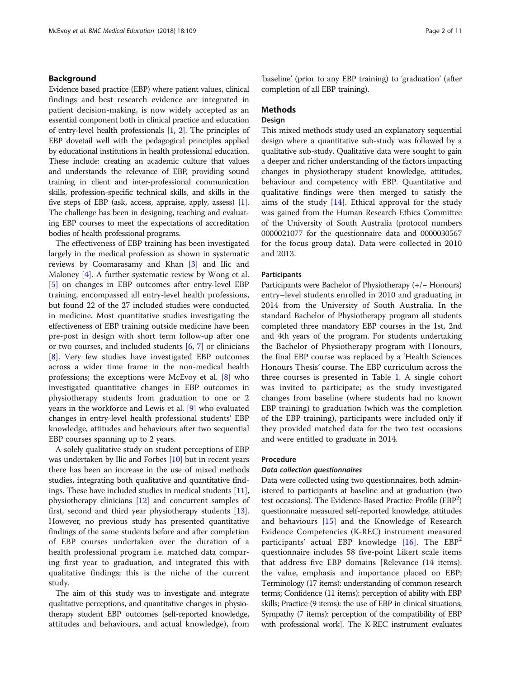# Background

Evidence based practice (EBP) where patient values, clinical findings and best research evidence are integrated in patient decision-making, is now widely accepted as an essential component both in clinical practice and education of entry-level health professionals [\[1,](#page-10-0) [2\]](#page-10-0). The principles of EBP dovetail well with the pedagogical principles applied by educational institutions in health professional education. These include: creating an academic culture that values and understands the relevance of EBP, providing sound training in client and inter-professional communication skills, profession-specific technical skills, and skills in the five steps of EBP (ask, access, appraise, apply, assess) [[1](#page-10-0)]. The challenge has been in designing, teaching and evaluating EBP courses to meet the expectations of accreditation bodies of health professional programs.

The effectiveness of EBP training has been investigated largely in the medical profession as shown in systematic reviews by Coomarasamy and Khan [[3\]](#page-10-0) and Ilic and Maloney [[4](#page-10-0)]. A further systematic review by Wong et al. [[5\]](#page-10-0) on changes in EBP outcomes after entry-level EBP training, encompassed all entry-level health professions, but found 22 of the 27 included studies were conducted in medicine. Most quantitative studies investigating the effectiveness of EBP training outside medicine have been pre-post in design with short term follow-up after one or two courses, and included students [\[6](#page-10-0), [7](#page-10-0)] or clinicians [[8\]](#page-10-0). Very few studies have investigated EBP outcomes across a wider time frame in the non-medical health professions; the exceptions were McEvoy et al. [\[8](#page-10-0)] who investigated quantitative changes in EBP outcomes in physiotherapy students from graduation to one or 2 years in the workforce and Lewis et al. [[9\]](#page-10-0) who evaluated changes in entry-level health professional students' EBP knowledge, attitudes and behaviours after two sequential EBP courses spanning up to 2 years.

A solely qualitative study on student perceptions of EBP was undertaken by Ilic and Forbes [\[10\]](#page-10-0) but in recent years there has been an increase in the use of mixed methods studies, integrating both qualitative and quantitative findings. These have included studies in medical students [[11](#page-10-0)], physiotherapy clinicians [[12](#page-10-0)] and concurrent samples of first, second and third year physiotherapy students [[13](#page-10-0)]. However, no previous study has presented quantitative findings of the same students before and after completion of EBP courses undertaken over the duration of a health professional program i.e. matched data comparing first year to graduation, and integrated this with qualitative findings; this is the niche of the current study.

The aim of this study was to investigate and integrate qualitative perceptions, and quantitative changes in physiotherapy student EBP outcomes (self-reported knowledge, attitudes and behaviours, and actual knowledge), from

'baseline' (prior to any EBP training) to 'graduation' (after completion of all EBP training).

# Methods

# **Design**

This mixed methods study used an explanatory sequential design where a quantitative sub-study was followed by a qualitative sub-study. Qualitative data were sought to gain a deeper and richer understanding of the factors impacting changes in physiotherapy student knowledge, attitudes, behaviour and competency with EBP. Quantitative and qualitative findings were then merged to satisfy the aims of the study  $[14]$  $[14]$ . Ethical approval for the study was gained from the Human Research Ethics Committee of the University of South Australia (protocol numbers 0000021077 for the questionnaire data and 0000030567 for the focus group data). Data were collected in 2010 and 2013.

#### Participants

Participants were Bachelor of Physiotherapy (+/− Honours) entry–level students enrolled in 2010 and graduating in 2014 from the University of South Australia. In the standard Bachelor of Physiotherapy program all students completed three mandatory EBP courses in the 1st, 2nd and 4th years of the program. For students undertaking the Bachelor of Physiotherapy program with Honours, the final EBP course was replaced by a 'Health Sciences Honours Thesis' course. The EBP curriculum across the three courses is presented in Table [1](#page-2-0). A single cohort was invited to participate; as the study investigated changes from baseline (where students had no known EBP training) to graduation (which was the completion of the EBP training), participants were included only if they provided matched data for the two test occasions and were entitled to graduate in 2014.

# Procedure

### Data collection questionnaires

Data were collected using two questionnaires, both administered to participants at baseline and at graduation (two test occasions). The Evidence-Based Practice Profile (EBP<sup>2</sup>) questionnaire measured self-reported knowledge, attitudes and behaviours [[15\]](#page-10-0) and the Knowledge of Research Evidence Competencies (K-REC) instrument measured participants' actual EBP knowledge  $[16]$  $[16]$ . The EBP<sup>2</sup> questionnaire includes 58 five-point Likert scale items that address five EBP domains [Relevance (14 items): the value, emphasis and importance placed on EBP; Terminology (17 items): understanding of common research terms; Confidence (11 items): perception of ability with EBP skills; Practice (9 items): the use of EBP in clinical situations; Sympathy (7 items): perception of the compatibility of EBP with professional work]. The K-REC instrument evaluates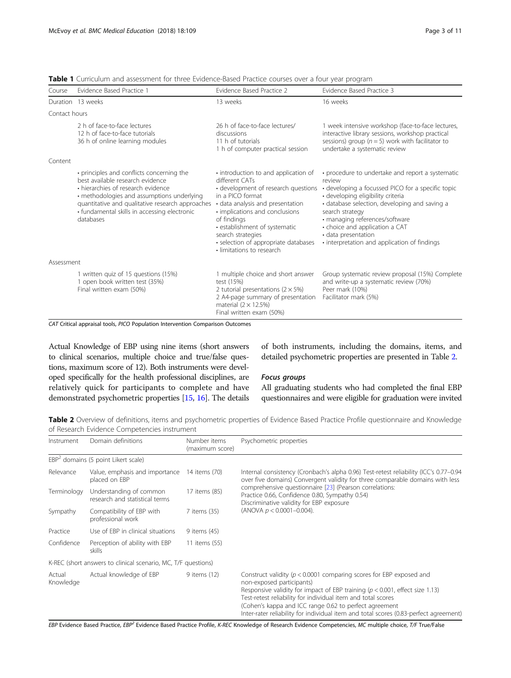| Course        | Evidence Based Practice 1                                                                                                                                                                                                                                                          | Evidence Based Practice 2                                                                                                                                                                                                                                                                                                         | Evidence Based Practice 3                                                                                                                                                                                                                                                                                                                                           |
|---------------|------------------------------------------------------------------------------------------------------------------------------------------------------------------------------------------------------------------------------------------------------------------------------------|-----------------------------------------------------------------------------------------------------------------------------------------------------------------------------------------------------------------------------------------------------------------------------------------------------------------------------------|---------------------------------------------------------------------------------------------------------------------------------------------------------------------------------------------------------------------------------------------------------------------------------------------------------------------------------------------------------------------|
|               | Duration 13 weeks                                                                                                                                                                                                                                                                  | 13 weeks                                                                                                                                                                                                                                                                                                                          | 16 weeks                                                                                                                                                                                                                                                                                                                                                            |
| Contact hours |                                                                                                                                                                                                                                                                                    |                                                                                                                                                                                                                                                                                                                                   |                                                                                                                                                                                                                                                                                                                                                                     |
|               | 2 h of face-to-face lectures<br>12 h of face-to-face tutorials<br>36 h of online learning modules                                                                                                                                                                                  | 26 h of face-to-face lectures/<br>discussions<br>11 h of tutorials<br>1 h of computer practical session                                                                                                                                                                                                                           | 1 week intensive workshop (face-to-face lectures,<br>interactive library sessions, workshop practical<br>sessions) group ( $n = 5$ ) work with facilitator to<br>undertake a systematic review                                                                                                                                                                      |
| Content       |                                                                                                                                                                                                                                                                                    |                                                                                                                                                                                                                                                                                                                                   |                                                                                                                                                                                                                                                                                                                                                                     |
|               | • principles and conflicts concerning the<br>best available research evidence<br>• hierarchies of research evidence<br>• methodologies and assumptions underlying<br>quantitative and qualitative research approaches<br>· fundamental skills in accessing electronic<br>databases | . introduction to and application of<br>different CATs<br>• development of research questions<br>in a PICO format<br>· data analysis and presentation<br>• implications and conclusions<br>of findings<br>· establishment of systematic<br>search strategies<br>· selection of appropriate databases<br>· limitations to research | • procedure to undertake and report a systematic<br>review<br>• developing a focussed PICO for a specific topic<br>· developing eligibility criteria<br>· database selection, developing and saving a<br>search strategy<br>• managing references/software<br>• choice and application a CAT<br>· data presentation<br>· interpretation and application of findings |
| Assessment    |                                                                                                                                                                                                                                                                                    |                                                                                                                                                                                                                                                                                                                                   |                                                                                                                                                                                                                                                                                                                                                                     |
|               | 1 written quiz of 15 questions (15%)<br>1 open book written test (35%)<br>Final written exam (50%)                                                                                                                                                                                 | 1 multiple choice and short answer<br>test (15%)<br>2 tutorial presentations ( $2 \times 5\%$ )<br>2 A4-page summary of presentation<br>material $(2 \times 12.5\%)$<br>Final written exam (50%)                                                                                                                                  | Group systematic review proposal (15%) Complete<br>and write-up a systematic review (70%)<br>Peer mark (10%)<br>Facilitator mark (5%)                                                                                                                                                                                                                               |

<span id="page-2-0"></span>Table 1 Curriculum and assessment for three Evidence-Based Practice courses over a four year program

CAT Critical appraisal tools, PICO Population Intervention Comparison Outcomes

Actual Knowledge of EBP using nine items (short answers to clinical scenarios, multiple choice and true/false questions, maximum score of 12). Both instruments were developed specifically for the health professional disciplines, are relatively quick for participants to complete and have demonstrated psychometric properties [\[15,](#page-10-0) [16](#page-10-0)]. The details of both instruments, including the domains, items, and detailed psychometric properties are presented in Table 2.

## Focus groups

All graduating students who had completed the final EBP questionnaires and were eligible for graduation were invited

Table 2 Overview of definitions, items and psychometric properties of Evidence Based Practice Profile questionnaire and Knowledge of Research Evidence Competencies instrument

| Instrument          | Domain definitions                                            | Number items<br>(maximum score) | Psychometric properties                                                                                                                                                                                                                                                                                                                                                                                    |
|---------------------|---------------------------------------------------------------|---------------------------------|------------------------------------------------------------------------------------------------------------------------------------------------------------------------------------------------------------------------------------------------------------------------------------------------------------------------------------------------------------------------------------------------------------|
|                     | $EBP2$ domains (5 point Likert scale)                         |                                 |                                                                                                                                                                                                                                                                                                                                                                                                            |
| Relevance           | Value, emphasis and importance<br>placed on EBP               | 14 items (70)                   | Internal consistency (Cronbach's alpha 0.96) Test-retest reliability (ICC's 0.77-0.94<br>over five domains) Convergent validity for three comparable domains with less                                                                                                                                                                                                                                     |
| Terminology         | Understanding of common<br>research and statistical terms     | 17 items (85)                   | comprehensive questionnaire [23] (Pearson correlations:<br>Practice 0.66, Confidence 0.80, Sympathy 0.54)<br>Discriminative validity for EBP exposure                                                                                                                                                                                                                                                      |
| Sympathy            | Compatibility of EBP with<br>professional work                | 7 items (35)                    | (ANOVA $p < 0.0001 - 0.004$ ).                                                                                                                                                                                                                                                                                                                                                                             |
| Practice            | Use of EBP in clinical situations                             | 9 items (45)                    |                                                                                                                                                                                                                                                                                                                                                                                                            |
| Confidence          | Perception of ability with EBP<br>skills                      | 11 items (55)                   |                                                                                                                                                                                                                                                                                                                                                                                                            |
|                     | K-REC (short answers to clinical scenario, MC, T/F questions) |                                 |                                                                                                                                                                                                                                                                                                                                                                                                            |
| Actual<br>Knowledge | Actual knowledge of EBP                                       | 9 items (12)                    | Construct validity ( $p < 0.0001$ comparing scores for EBP exposed and<br>non-exposed participants)<br>Responsive validity for impact of EBP training ( $p < 0.001$ , effect size 1.13)<br>Test-retest reliability for individual item and total scores<br>(Cohen's kappa and ICC range 0.62 to perfect agreement<br>Inter-rater reliability for individual item and total scores (0.83-perfect agreement) |

EBP Evidence Based Practice, EBP<sup>2</sup> Evidence Based Practice Profile, K-REC Knowledge of Research Evidence Competencies, MC multiple choice, T/F True/False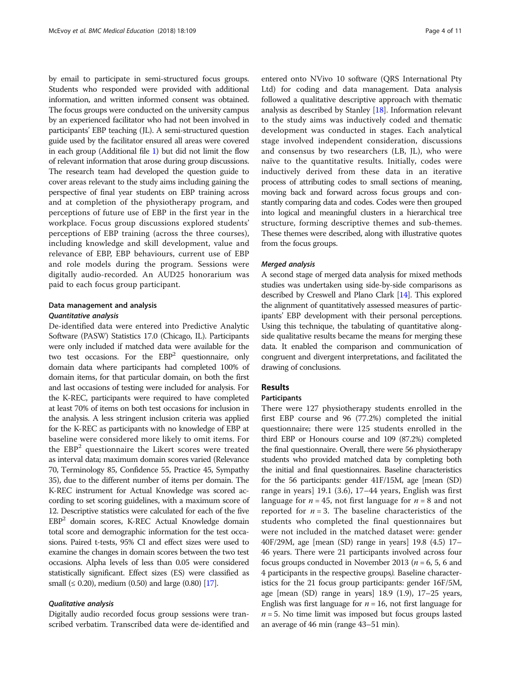by email to participate in semi-structured focus groups. Students who responded were provided with additional information, and written informed consent was obtained. The focus groups were conducted on the university campus by an experienced facilitator who had not been involved in participants' EBP teaching (JL). A semi-structured question guide used by the facilitator ensured all areas were covered in each group (Additional file [1](#page-9-0)) but did not limit the flow of relevant information that arose during group discussions. The research team had developed the question guide to cover areas relevant to the study aims including gaining the perspective of final year students on EBP training across and at completion of the physiotherapy program, and perceptions of future use of EBP in the first year in the workplace. Focus group discussions explored students' perceptions of EBP training (across the three courses), including knowledge and skill development, value and relevance of EBP, EBP behaviours, current use of EBP and role models during the program. Sessions were digitally audio-recorded. An AUD25 honorarium was paid to each focus group participant.

# Data management and analysis Quantitative analysis

De-identified data were entered into Predictive Analytic Software (PASW) Statistics 17.0 (Chicago, IL). Participants were only included if matched data were available for the two test occasions. For the  $EBP<sup>2</sup>$  questionnaire, only domain data where participants had completed 100% of domain items, for that particular domain, on both the first and last occasions of testing were included for analysis. For the K-REC, participants were required to have completed at least 70% of items on both test occasions for inclusion in the analysis. A less stringent inclusion criteria was applied for the K-REC as participants with no knowledge of EBP at baseline were considered more likely to omit items. For the  $EBP<sup>2</sup>$  questionnaire the Likert scores were treated as interval data; maximum domain scores varied (Relevance 70, Terminology 85, Confidence 55, Practice 45, Sympathy 35), due to the different number of items per domain. The K-REC instrument for Actual Knowledge was scored according to set scoring guidelines, with a maximum score of 12. Descriptive statistics were calculated for each of the five EBP2 domain scores, K-REC Actual Knowledge domain total score and demographic information for the test occasions. Paired t-tests, 95% CI and effect sizes were used to examine the changes in domain scores between the two test occasions. Alpha levels of less than 0.05 were considered statistically significant. Effect sizes (ES) were classified as small ( $\leq$  0.20), medium (0.50) and large (0.80) [\[17\]](#page-10-0).

## Qualitative analysis

Digitally audio recorded focus group sessions were transcribed verbatim. Transcribed data were de-identified and

entered onto NVivo 10 software (QRS International Pty Ltd) for coding and data management. Data analysis followed a qualitative descriptive approach with thematic analysis as described by Stanley [[18](#page-10-0)]. Information relevant to the study aims was inductively coded and thematic development was conducted in stages. Each analytical stage involved independent consideration, discussions and consensus by two researchers (LB, JL), who were naïve to the quantitative results. Initially, codes were inductively derived from these data in an iterative process of attributing codes to small sections of meaning, moving back and forward across focus groups and constantly comparing data and codes. Codes were then grouped into logical and meaningful clusters in a hierarchical tree structure, forming descriptive themes and sub-themes. These themes were described, along with illustrative quotes from the focus groups.

## Merged analysis

A second stage of merged data analysis for mixed methods studies was undertaken using side-by-side comparisons as described by Creswell and Plano Clark [[14](#page-10-0)]. This explored the alignment of quantitatively assessed measures of participants' EBP development with their personal perceptions. Using this technique, the tabulating of quantitative alongside qualitative results became the means for merging these data. It enabled the comparison and communication of congruent and divergent interpretations, and facilitated the drawing of conclusions.

# Results

## Participants

There were 127 physiotherapy students enrolled in the first EBP course and 96 (77.2%) completed the initial questionnaire; there were 125 students enrolled in the third EBP or Honours course and 109 (87.2%) completed the final questionnaire. Overall, there were 56 physiotherapy students who provided matched data by completing both the initial and final questionnaires. Baseline characteristics for the 56 participants: gender 41F/15M, age [mean (SD) range in years] 19.1 (3.6), 17–44 years, English was first language for  $n = 45$ , not first language for  $n = 8$  and not reported for  $n = 3$ . The baseline characteristics of the students who completed the final questionnaires but were not included in the matched dataset were: gender 40F/29M, age [mean (SD) range in years] 19.8 (4.5) 17– 46 years. There were 21 participants involved across four focus groups conducted in November 2013 ( $n = 6, 5, 6$  and 4 participants in the respective groups). Baseline characteristics for the 21 focus group participants: gender 16F/5M, age [mean (SD) range in years] 18.9 (1.9), 17–25 years, English was first language for  $n = 16$ , not first language for  $n = 5$ . No time limit was imposed but focus groups lasted an average of 46 min (range 43–51 min).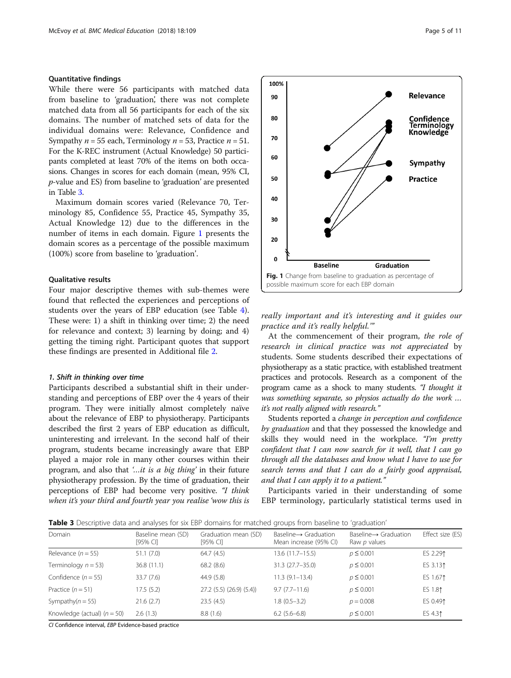# Quantitative findings

While there were 56 participants with matched data from baseline to 'graduation', there was not complete matched data from all 56 participants for each of the six domains. The number of matched sets of data for the individual domains were: Relevance, Confidence and Sympathy  $n = 55$  each, Terminology  $n = 53$ , Practice  $n = 51$ . For the K-REC instrument (Actual Knowledge) 50 participants completed at least 70% of the items on both occasions. Changes in scores for each domain (mean, 95% CI, p-value and ES) from baseline to 'graduation' are presented in Table 3.

Maximum domain scores varied (Relevance 70, Terminology 85, Confidence 55, Practice 45, Sympathy 35, Actual Knowledge 12) due to the differences in the number of items in each domain. Figure 1 presents the domain scores as a percentage of the possible maximum (100%) score from baseline to 'graduation'.

# Qualitative results

Four major descriptive themes with sub-themes were found that reflected the experiences and perceptions of students over the years of EBP education (see Table [4](#page-5-0)). These were: 1) a shift in thinking over time; 2) the need for relevance and context; 3) learning by doing; and 4) getting the timing right. Participant quotes that support these findings are presented in Additional file [2](#page-9-0).

#### 1. Shift in thinking over time

Participants described a substantial shift in their understanding and perceptions of EBP over the 4 years of their program. They were initially almost completely naïve about the relevance of EBP to physiotherapy. Participants described the first 2 years of EBP education as difficult, uninteresting and irrelevant. In the second half of their program, students became increasingly aware that EBP played a major role in many other courses within their program, and also that '…it is a big thing' in their future physiotherapy profession. By the time of graduation, their perceptions of EBP had become very positive. "I think when it's your third and fourth year you realise 'wow this is



really important and it's interesting and it guides our practice and it's really helpful.'"

At the commencement of their program, the role of research in clinical practice was not appreciated by students. Some students described their expectations of physiotherapy as a static practice, with established treatment practices and protocols. Research as a component of the program came as a shock to many students. "I thought it was something separate, so physios actually do the work … it's not really aligned with research."

Students reported a change in perception and confidence by graduation and that they possessed the knowledge and skills they would need in the workplace. "I'm pretty confident that I can now search for it well, that I can go through all the databases and know what I have to use for search terms and that I can do a fairly good appraisal, and that I can apply it to a patient."

Participants varied in their understanding of some EBP terminology, particularly statistical terms used in

Table 3 Descriptive data and analyses for six EBP domains for matched groups from baseline to 'graduation'

| Domain                        | Baseline mean (SD)<br>[95% CI] | Graduation mean (SD)<br>[95% CI] | $Basedine \rightarrow Graduation$<br>Mean increase (95% CI) | Baseline $\rightarrow$ Graduation<br>Raw p values | Effect size (ES) |
|-------------------------------|--------------------------------|----------------------------------|-------------------------------------------------------------|---------------------------------------------------|------------------|
| Relevance $(n = 55)$          | 51.1(7.0)                      | 64.7(4.5)                        | 13.6 (11.7–15.5)                                            | $p \le 0.001$                                     | ES 2.291         |
| Terminology $n = 53$ )        | 36.8(11.1)                     | 68.2(8.6)                        | $31.3(27.7 - 35.0)$                                         | $p \le 0.001$                                     | ES 3.131         |
| Confidence $(n = 55)$         | 33.7(7.6)                      | 44.9 (5.8)                       | $11.3(9.1 - 13.4)$                                          | $p \le 0.001$                                     | ES 1.671         |
| Practice $(n = 51)$           | 17.5 (5.2)                     | $27.2$ (5.5) (26.9) (5.4))       | $9.7(7.7-11.6)$                                             | $p \le 0.001$                                     | ES 1.81          |
| Sympathy( $n = 55$ )          | 21.6(2.7)                      | 23.5(4.5)                        | $1.8(0.5-3.2)$                                              | $p = 0.008$                                       | ES 0.491         |
| Knowledge (actual) $(n = 50)$ | 2.6(1.3)                       | 8.8(1.6)                         | $6.2(5.6-6.8)$                                              | $p \le 0.001$                                     | ES 4.31          |

CI Confidence interval, EBP Evidence-based practice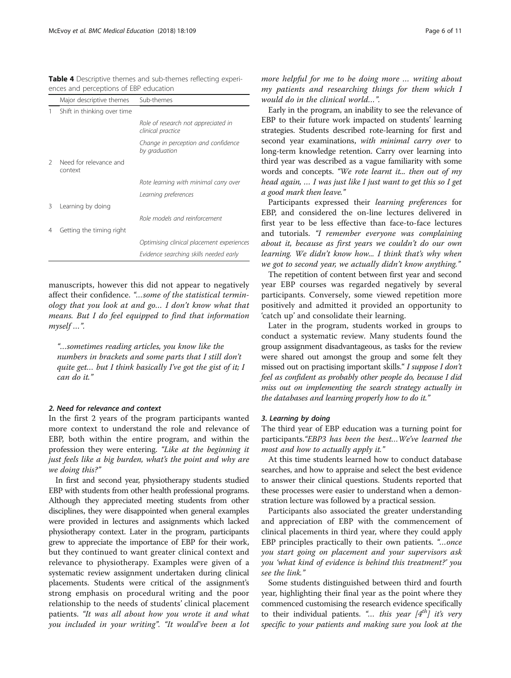<span id="page-5-0"></span>

| <b>Table 4</b> Descriptive themes and sub-themes reflecting experi- |  |  |  |
|---------------------------------------------------------------------|--|--|--|
| ences and perceptions of EBP education                              |  |  |  |

|               | Major descriptive themes          | Sub-themes                                               |
|---------------|-----------------------------------|----------------------------------------------------------|
|               | Shift in thinking over time       |                                                          |
|               |                                   | Role of research not appreciated in<br>clinical practice |
|               |                                   | Change in perception and confidence<br>by graduation     |
| $\mathcal{L}$ | Need for relevance and<br>context |                                                          |
|               |                                   | Rote learning with minimal carry over                    |
|               |                                   | Learning preferences                                     |
| 3             | Learning by doing                 |                                                          |
|               |                                   | Role models and reinforcement                            |
| 4             | Getting the timing right          |                                                          |
|               |                                   | Optimising clinical placement experiences                |
|               |                                   | Evidence searching skills needed early                   |

manuscripts, however this did not appear to negatively affect their confidence. "…some of the statistical terminology that you look at and go… I don't know what that means. But I do feel equipped to find that information myself …".

"…sometimes reading articles, you know like the numbers in brackets and some parts that I still don't quite get… but I think basically I've got the gist of it; I can do it."

# 2. Need for relevance and context

In the first 2 years of the program participants wanted more context to understand the role and relevance of EBP, both within the entire program, and within the profession they were entering. "Like at the beginning it just feels like a big burden, what's the point and why are we doing this?"

In first and second year, physiotherapy students studied EBP with students from other health professional programs. Although they appreciated meeting students from other disciplines, they were disappointed when general examples were provided in lectures and assignments which lacked physiotherapy context. Later in the program, participants grew to appreciate the importance of EBP for their work, but they continued to want greater clinical context and relevance to physiotherapy. Examples were given of a systematic review assignment undertaken during clinical placements. Students were critical of the assignment's strong emphasis on procedural writing and the poor relationship to the needs of students' clinical placement patients. "It was all about how you wrote it and what you included in your writing". "It would've been a lot more helpful for me to be doing more … writing about my patients and researching things for them which I would do in the clinical world…".

Early in the program, an inability to see the relevance of EBP to their future work impacted on students' learning strategies. Students described rote-learning for first and second year examinations, with minimal carry over to long-term knowledge retention. Carry over learning into third year was described as a vague familiarity with some words and concepts. "We rote learnt it... then out of my head again, … I was just like I just want to get this so I get a good mark then leave."

Participants expressed their learning preferences for EBP, and considered the on-line lectures delivered in first year to be less effective than face-to-face lectures and tutorials. "I remember everyone was complaining about it, because as first years we couldn't do our own learning. We didn't know how... I think that's why when we got to second year, we actually didn't know anything."

The repetition of content between first year and second year EBP courses was regarded negatively by several participants. Conversely, some viewed repetition more positively and admitted it provided an opportunity to 'catch up' and consolidate their learning.

Later in the program, students worked in groups to conduct a systematic review. Many students found the group assignment disadvantageous, as tasks for the review were shared out amongst the group and some felt they missed out on practising important skills." I suppose I don't feel as confident as probably other people do, because I did miss out on implementing the search strategy actually in the databases and learning properly how to do it."

#### 3. Learning by doing

The third year of EBP education was a turning point for participants."EBP3 has been the best…We've learned the most and how to actually apply it."

At this time students learned how to conduct database searches, and how to appraise and select the best evidence to answer their clinical questions. Students reported that these processes were easier to understand when a demonstration lecture was followed by a practical session.

Participants also associated the greater understanding and appreciation of EBP with the commencement of clinical placements in third year, where they could apply EBP principles practically to their own patients. "…once you start going on placement and your supervisors ask you 'what kind of evidence is behind this treatment?' you see the link."

Some students distinguished between third and fourth year, highlighting their final year as the point where they commenced customising the research evidence specifically to their individual patients. "... this year  $[4<sup>th</sup>]$  it's very specific to your patients and making sure you look at the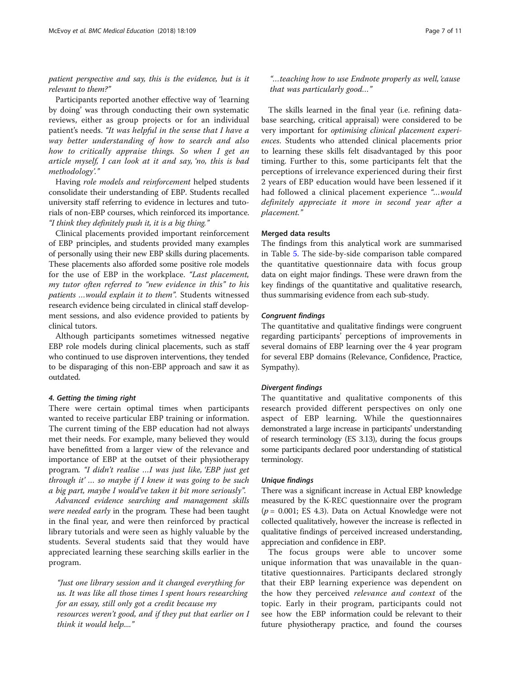patient perspective and say, this is the evidence, but is it relevant to them?"

Participants reported another effective way of 'learning by doing' was through conducting their own systematic reviews, either as group projects or for an individual patient's needs. "It was helpful in the sense that I have a way better understanding of how to search and also how to critically appraise things. So when I get an article myself, I can look at it and say, 'no, this is bad methodology'."

Having role models and reinforcement helped students consolidate their understanding of EBP. Students recalled university staff referring to evidence in lectures and tutorials of non-EBP courses, which reinforced its importance. "I think they definitely push it, it is a big thing."

Clinical placements provided important reinforcement of EBP principles, and students provided many examples of personally using their new EBP skills during placements. These placements also afforded some positive role models for the use of EBP in the workplace. "Last placement, my tutor often referred to "new evidence in this" to his patients …would explain it to them". Students witnessed research evidence being circulated in clinical staff development sessions, and also evidence provided to patients by clinical tutors.

Although participants sometimes witnessed negative EBP role models during clinical placements, such as staff who continued to use disproven interventions, they tended to be disparaging of this non-EBP approach and saw it as outdated.

#### 4. Getting the timing right

There were certain optimal times when participants wanted to receive particular EBP training or information. The current timing of the EBP education had not always met their needs. For example, many believed they would have benefitted from a larger view of the relevance and importance of EBP at the outset of their physiotherapy program. "I didn't realise …I was just like, 'EBP just get through it'... so maybe if I knew it was going to be such a big part, maybe I would've taken it bit more seriously".

Advanced evidence searching and management skills were needed early in the program. These had been taught in the final year, and were then reinforced by practical library tutorials and were seen as highly valuable by the students. Several students said that they would have appreciated learning these searching skills earlier in the program.

"Just one library session and it changed everything for us. It was like all those times I spent hours researching for an essay, still only got a credit because my resources weren't good, and if they put that earlier on I think it would help...."

"…teaching how to use Endnote properly as well, 'cause that was particularly good…"

The skills learned in the final year (i.e. refining database searching, critical appraisal) were considered to be very important for optimising clinical placement experiences. Students who attended clinical placements prior to learning these skills felt disadvantaged by this poor timing. Further to this, some participants felt that the perceptions of irrelevance experienced during their first 2 years of EBP education would have been lessened if it had followed a clinical placement experience "…would definitely appreciate it more in second year after a placement."

## Merged data results

The findings from this analytical work are summarised in Table [5](#page-7-0). The side-by-side comparison table compared the quantitative questionnaire data with focus group data on eight major findings. These were drawn from the key findings of the quantitative and qualitative research, thus summarising evidence from each sub-study.

## Congruent findings

The quantitative and qualitative findings were congruent regarding participants' perceptions of improvements in several domains of EBP learning over the 4 year program for several EBP domains (Relevance, Confidence, Practice, Sympathy).

## Divergent findings

The quantitative and qualitative components of this research provided different perspectives on only one aspect of EBP learning. While the questionnaires demonstrated a large increase in participants' understanding of research terminology (ES 3.13), during the focus groups some participants declared poor understanding of statistical terminology.

### Unique findings

There was a significant increase in Actual EBP knowledge measured by the K-REC questionnaire over the program  $(p = 0.001;$  ES 4.3). Data on Actual Knowledge were not collected qualitatively, however the increase is reflected in qualitative findings of perceived increased understanding, appreciation and confidence in EBP.

The focus groups were able to uncover some unique information that was unavailable in the quantitative questionnaires. Participants declared strongly that their EBP learning experience was dependent on the how they perceived relevance and context of the topic. Early in their program, participants could not see how the EBP information could be relevant to their future physiotherapy practice, and found the courses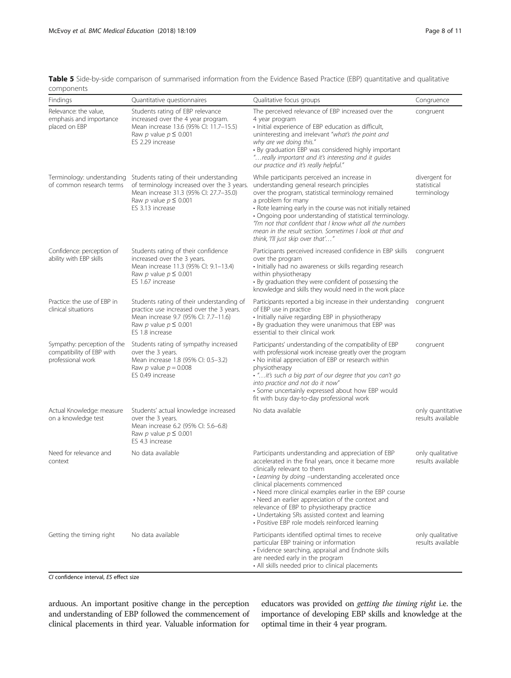<span id="page-7-0"></span>Table 5 Side-by-side comparison of summarised information from the Evidence Based Practice (EBP) quantitative and qualitative components

| componento                                                                    |                                                                                                                                                                                                             |                                                                                                                                                                                                                                                                                                                                                                                                                                                                                                     |                                             |
|-------------------------------------------------------------------------------|-------------------------------------------------------------------------------------------------------------------------------------------------------------------------------------------------------------|-----------------------------------------------------------------------------------------------------------------------------------------------------------------------------------------------------------------------------------------------------------------------------------------------------------------------------------------------------------------------------------------------------------------------------------------------------------------------------------------------------|---------------------------------------------|
| <b>Findings</b>                                                               | Quantitative questionnaires                                                                                                                                                                                 | Qualitative focus groups                                                                                                                                                                                                                                                                                                                                                                                                                                                                            | Congruence                                  |
| Relevance: the value,<br>emphasis and importance<br>placed on EBP             | Students rating of EBP relevance<br>increased over the 4 year program.<br>Mean increase 13.6 (95% CI: 11.7-15.5)<br>Raw p value $p \leq 0.001$<br>ES 2.29 increase                                          | The perceived relevance of EBP increased over the<br>4 year program<br>· Initial experience of EBP education as difficult,<br>uninteresting and irrelevant "what's the point and<br>why are we doing this."<br>• By graduation EBP was considered highly important<br>"really important and it's interesting and it guides<br>our practice and it's really helpful."                                                                                                                                | congruent                                   |
| of common research terms                                                      | Terminology: understanding Students rating of their understanding<br>of terminology increased over the 3 years.<br>Mean increase 31.3 (95% CI: 27.7-35.0)<br>Raw p value $p \leq 0.001$<br>ES 3.13 increase | While participants perceived an increase in<br>understanding general research principles<br>over the program, statistical terminology remained<br>a problem for many<br>• Rote learning early in the course was not initially retained<br>• Ongoing poor understanding of statistical terminology.<br>"I'm not that confident that I know what all the numbers<br>mean in the result section. Sometimes I look at that and<br>think, 'I'll just skip over that'"                                    | divergent for<br>statistical<br>terminology |
| Confidence: perception of<br>ability with EBP skills                          | Students rating of their confidence<br>increased over the 3 years.<br>Mean increase 11.3 (95% CI: 9.1-13.4)<br>Raw p value $p \leq 0.001$<br>ES 1.67 increase                                               | Participants perceived increased confidence in EBP skills<br>over the program<br>· Initially had no awareness or skills regarding research<br>within physiotherapy<br>• By graduation they were confident of possessing the<br>knowledge and skills they would need in the work place                                                                                                                                                                                                               | congruent                                   |
| Practice: the use of EBP in<br>clinical situations                            | Students rating of their understanding of<br>practice use increased over the 3 years.<br>Mean increase 9.7 (95% CI: 7.7-11.6)<br>Raw p value $p \leq 0.001$<br>ES 1.8 increase                              | Participants reported a big increase in their understanding<br>of EBP use in practice<br>· Initially naïve regarding EBP in physiotherapy<br>• By graduation they were unanimous that EBP was<br>essential to their clinical work                                                                                                                                                                                                                                                                   | congruent                                   |
| Sympathy: perception of the<br>compatibility of EBP with<br>professional work | Students rating of sympathy increased<br>over the 3 years.<br>Mean increase 1.8 (95% Cl: 0.5-3.2)<br>Raw $p$ value $p = 0.008$<br>ES 0.49 increase                                                          | Participants' understanding of the compatibility of EBP<br>with professional work increase greatly over the program<br>• No initial appreciation of EBP or research within<br>physiotherapy<br>. "it's such a big part of our degree that you can't go<br>into practice and not do it now"<br>• Some uncertainly expressed about how EBP would<br>fit with busy day-to-day professional work                                                                                                        | congruent                                   |
| Actual Knowledge: measure<br>on a knowledge test                              | Students' actual knowledge increased<br>over the 3 years.<br>Mean increase 6.2 (95% Cl: 5.6-6.8)<br>Raw p value $p \leq 0.001$<br>ES 4.3 increase                                                           | No data available                                                                                                                                                                                                                                                                                                                                                                                                                                                                                   | only quantitative<br>results available      |
| Need for relevance and<br>context                                             | No data available                                                                                                                                                                                           | Participants understanding and appreciation of EBP<br>accelerated in the final years, once it became more<br>clinically relevant to them<br>· Learning by doing -understanding accelerated once<br>clinical placements commenced<br>• Need more clinical examples earlier in the EBP course<br>• Need an earlier appreciation of the context and<br>relevance of EBP to physiotherapy practice<br>• Undertaking SRs assisted context and learning<br>· Positive EBP role models reinforced learning | only qualitative<br>results available       |
| Getting the timing right                                                      | No data available                                                                                                                                                                                           | Participants identified optimal times to receive<br>particular EBP training or information<br>• Evidence searching, appraisal and Endnote skills<br>are needed early in the program<br>• All skills needed prior to clinical placements                                                                                                                                                                                                                                                             | only qualitative<br>results available       |

CI confidence interval, ES effect size

arduous. An important positive change in the perception and understanding of EBP followed the commencement of clinical placements in third year. Valuable information for

educators was provided on getting the timing right i.e. the importance of developing EBP skills and knowledge at the optimal time in their 4 year program.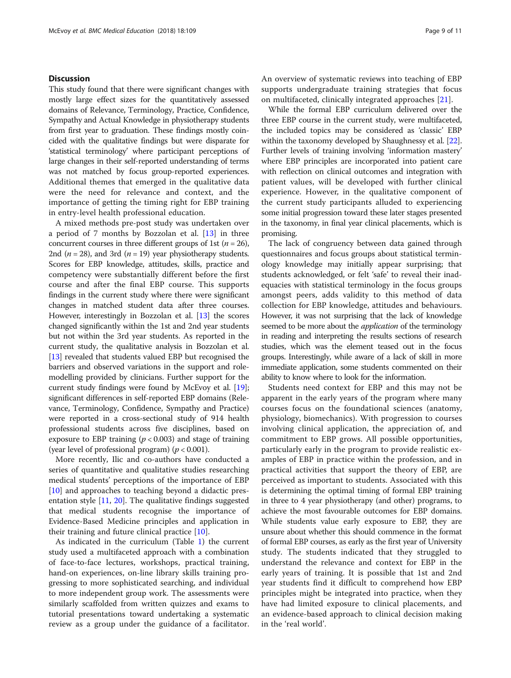# **Discussion**

This study found that there were significant changes with mostly large effect sizes for the quantitatively assessed domains of Relevance, Terminology, Practice, Confidence, Sympathy and Actual Knowledge in physiotherapy students from first year to graduation. These findings mostly coincided with the qualitative findings but were disparate for 'statistical terminology' where participant perceptions of large changes in their self-reported understanding of terms was not matched by focus group-reported experiences. Additional themes that emerged in the qualitative data were the need for relevance and context, and the importance of getting the timing right for EBP training in entry-level health professional education.

A mixed methods pre-post study was undertaken over a period of 7 months by Bozzolan et al. [\[13](#page-10-0)] in three concurrent courses in three different groups of 1st ( $n = 26$ ), 2nd ( $n = 28$ ), and 3rd ( $n = 19$ ) year physiotherapy students. Scores for EBP knowledge, attitudes, skills, practice and competency were substantially different before the first course and after the final EBP course. This supports findings in the current study where there were significant changes in matched student data after three courses. However, interestingly in Bozzolan et al. [\[13\]](#page-10-0) the scores changed significantly within the 1st and 2nd year students but not within the 3rd year students. As reported in the current study, the qualitative analysis in Bozzolan et al. [[13](#page-10-0)] revealed that students valued EBP but recognised the barriers and observed variations in the support and rolemodelling provided by clinicians. Further support for the current study findings were found by McEvoy et al. [[19](#page-10-0)]; significant differences in self-reported EBP domains (Relevance, Terminology, Confidence, Sympathy and Practice) were reported in a cross-sectional study of 914 health professional students across five disciplines, based on exposure to EBP training ( $p < 0.003$ ) and stage of training (year level of professional program) ( $p < 0.001$ ).

More recently, Ilic and co-authors have conducted a series of quantitative and qualitative studies researching medical students' perceptions of the importance of EBP [[10\]](#page-10-0) and approaches to teaching beyond a didactic presentation style [[11,](#page-10-0) [20\]](#page-10-0). The qualitative findings suggested that medical students recognise the importance of Evidence-Based Medicine principles and application in their training and future clinical practice [\[10](#page-10-0)].

As indicated in the curriculum (Table [1\)](#page-2-0) the current study used a multifaceted approach with a combination of face-to-face lectures, workshops, practical training, hand-on experiences, on-line library skills training progressing to more sophisticated searching, and individual to more independent group work. The assessments were similarly scaffolded from written quizzes and exams to tutorial presentations toward undertaking a systematic review as a group under the guidance of a facilitator. An overview of systematic reviews into teaching of EBP supports undergraduate training strategies that focus on multifaceted, clinically integrated approaches [[21\]](#page-10-0).

While the formal EBP curriculum delivered over the three EBP course in the current study, were multifaceted, the included topics may be considered as 'classic' EBP within the taxonomy developed by Shaughnessy et al. [[22](#page-10-0)]. Further levels of training involving 'information mastery' where EBP principles are incorporated into patient care with reflection on clinical outcomes and integration with patient values, will be developed with further clinical experience. However, in the qualitative component of the current study participants alluded to experiencing some initial progression toward these later stages presented in the taxonomy, in final year clinical placements, which is promising.

The lack of congruency between data gained through questionnaires and focus groups about statistical terminology knowledge may initially appear surprising; that students acknowledged, or felt 'safe' to reveal their inadequacies with statistical terminology in the focus groups amongst peers, adds validity to this method of data collection for EBP knowledge, attitudes and behaviours. However, it was not surprising that the lack of knowledge seemed to be more about the *application* of the terminology in reading and interpreting the results sections of research studies, which was the element teased out in the focus groups. Interestingly, while aware of a lack of skill in more immediate application, some students commented on their ability to know where to look for the information.

Students need context for EBP and this may not be apparent in the early years of the program where many courses focus on the foundational sciences (anatomy, physiology, biomechanics). With progression to courses involving clinical application, the appreciation of, and commitment to EBP grows. All possible opportunities, particularly early in the program to provide realistic examples of EBP in practice within the profession, and in practical activities that support the theory of EBP, are perceived as important to students. Associated with this is determining the optimal timing of formal EBP training in three to 4 year physiotherapy (and other) programs, to achieve the most favourable outcomes for EBP domains. While students value early exposure to EBP, they are unsure about whether this should commence in the format of formal EBP courses, as early as the first year of University study. The students indicated that they struggled to understand the relevance and context for EBP in the early years of training. It is possible that 1st and 2nd year students find it difficult to comprehend how EBP principles might be integrated into practice, when they have had limited exposure to clinical placements, and an evidence-based approach to clinical decision making in the 'real world'.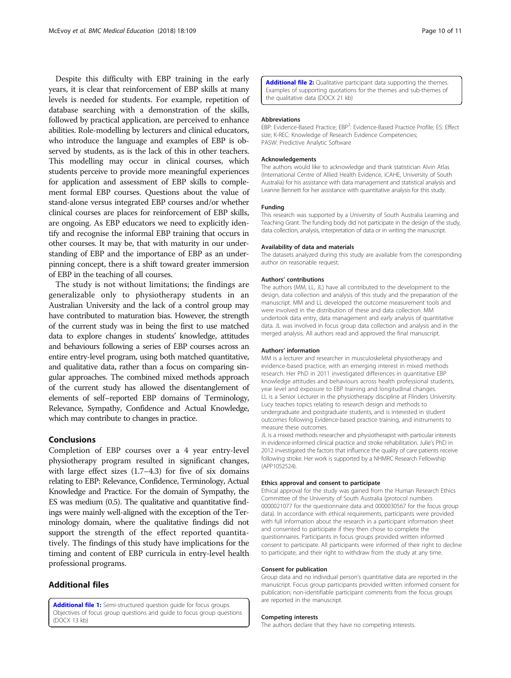<span id="page-9-0"></span>Despite this difficulty with EBP training in the early years, it is clear that reinforcement of EBP skills at many levels is needed for students. For example, repetition of database searching with a demonstration of the skills, followed by practical application, are perceived to enhance abilities. Role-modelling by lecturers and clinical educators, who introduce the language and examples of EBP is observed by students, as is the lack of this in other teachers. This modelling may occur in clinical courses, which students perceive to provide more meaningful experiences for application and assessment of EBP skills to complement formal EBP courses. Questions about the value of stand-alone versus integrated EBP courses and/or whether clinical courses are places for reinforcement of EBP skills, are ongoing. As EBP educators we need to explicitly identify and recognise the informal EBP training that occurs in other courses. It may be, that with maturity in our understanding of EBP and the importance of EBP as an underpinning concept, there is a shift toward greater immersion of EBP in the teaching of all courses.

The study is not without limitations; the findings are generalizable only to physiotherapy students in an Australian University and the lack of a control group may have contributed to maturation bias. However, the strength of the current study was in being the first to use matched data to explore changes in students' knowledge, attitudes and behaviours following a series of EBP courses across an entire entry-level program, using both matched quantitative, and qualitative data, rather than a focus on comparing singular approaches. The combined mixed methods approach of the current study has allowed the disentanglement of elements of self–reported EBP domains of Terminology, Relevance, Sympathy, Confidence and Actual Knowledge, which may contribute to changes in practice.

## Conclusions

Completion of EBP courses over a 4 year entry-level physiotherapy program resulted in significant changes, with large effect sizes (1.7–4.3) for five of six domains relating to EBP: Relevance, Confidence, Terminology, Actual Knowledge and Practice. For the domain of Sympathy, the ES was medium (0.5). The qualitative and quantitative findings were mainly well-aligned with the exception of the Terminology domain, where the qualitative findings did not support the strength of the effect reported quantitatively. The findings of this study have implications for the timing and content of EBP curricula in entry-level health professional programs.

# Additional files

[Additional file 1:](https://doi.org/10.1186/s12909-018-1212-4) Semi-structured question guide for focus groups. Objectives of focus group questions and guide to focus group questions (DOCX 13 kb)

[Additional file 2:](https://doi.org/10.1186/s12909-018-1212-4) Qualitative participant data supporting the themes. Examples of supporting quotations for the themes and sub-themes of the qualitative data (DOCX 21 kb)

#### Abbreviations

EBP: Evidence-Based Practice; EBP<sup>2</sup>: Evidence-Based Practice Profile; ES: Effect size; K-REC: Knowledge of Research Evidence Competencies; PASW: Predictive Analytic Software

#### Acknowledgements

The authors would like to acknowledge and thank statistician Alvin Atlas (International Centre of Allied Health Evidence, iCAHE, University of South Australia) for his assistance with data management and statistical analysis and Leanne Bennett for her assistance with quantitative analysis for this study.

#### Funding

This research was supported by a University of South Australia Learning and Teaching Grant. The funding body did not participate in the design of the study, data collection, analysis, interpretation of data or in writing the manuscript.

#### Availability of data and materials

The datasets analyzed during this study are available from the corresponding author on reasonable request.

#### Authors' contributions

The authors (MM, LL, JL) have all contributed to the development to the design, data collection and analysis of this study and the preparation of the manuscript. MM and LL developed the outcome measurement tools and were involved in the distribution of these and data collection. MM undertook data entry, data management and early analysis of quantitative data. JL was involved in focus group data collection and analysis and in the merged analysis. All authors read and approved the final manuscript.

#### Authors' information

MM is a lecturer and researcher in musculoskeletal physiotherapy and evidence-based practice, with an emerging interest in mixed methods research. Her PhD in 2011 investigated differences in quantitative EBP knowledge attitudes and behaviours across health professional students, year level and exposure to EBP training and longitudinal changes. LL is a Senior Lecturer in the physiotherapy discipline at Flinders University. Lucy teaches topics relating to research design and methods to undergraduate and postgraduate students, and is interested in student outcomes following Evidence-based practice training, and instruments to measure these outcomes.

JL is a mixed methods researcher and physiotherapist with particular interests in evidence-informed clinical practice and stroke rehabilitation. Julie's PhD in 2012 investigated the factors that influence the quality of care patients receive following stroke. Her work is supported by a NHMRC Research Fellowship (APP1052524).

#### Ethics approval and consent to participate

Ethical approval for the study was gained from the Human Research Ethics Committee of the University of South Australia (protocol numbers 0000021077 for the questionnaire data and 0000030567 for the focus group data). In accordance with ethical requirements, participants were provided with full information about the research in a participant information sheet and consented to participate if they then chose to complete the questionnaires. Participants in focus groups provided written informed consent to participate. All participants were informed of their right to decline to participate, and their right to withdraw from the study at any time.

#### Consent for publication

Group data and no individual person's quantitative data are reported in the manuscript. Focus group participants provided written informed consent for publication; non-identifiable participant comments from the focus groups are reported in the manuscript.

#### Competing interests

The authors declare that they have no competing interests.